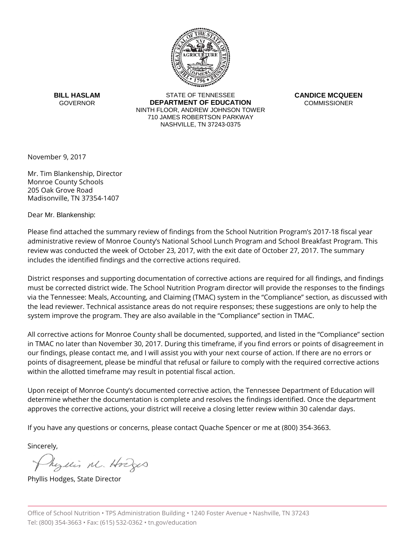

**BILL HASLAM GOVERNOR** 

STATE OF TENNESSEE **DEPARTMENT OF EDUCATION** NINTH FLOOR, ANDREW JOHNSON TOWER 710 JAMES ROBERTSON PARKWAY NASHVILLE, TN 37243-0375

**CANDICE MCQUEEN COMMISSIONER** 

November 9, 2017

Mr. Tim Blankenship, Director Monroe County Schools 205 Oak Grove Road Madisonville, TN 37354-1407

Dear Mr. Blankenship:

Please find attached the summary review of findings from the School Nutrition Program's 2017-18 fiscal year administrative review of Monroe County's National School Lunch Program and School Breakfast Program. This review was conducted the week of October 23, 2017, with the exit date of October 27, 2017. The summary includes the identified findings and the corrective actions required.

District responses and supporting documentation of corrective actions are required for all findings, and findings must be corrected district wide. The School Nutrition Program director will provide the responses to the findings via the Tennessee: Meals, Accounting, and Claiming (TMAC) system in the "Compliance" section, as discussed with the lead reviewer. Technical assistance areas do not require responses; these suggestions are only to help the system improve the program. They are also available in the "Compliance" section in TMAC.

All corrective actions for Monroe County shall be documented, supported, and listed in the "Compliance" section in TMAC no later than November 30, 2017. During this timeframe, if you find errors or points of disagreement in our findings, please contact me, and I will assist you with your next course of action. If there are no errors or points of disagreement, please be mindful that refusal or failure to comply with the required corrective actions within the allotted timeframe may result in potential fiscal action.

Upon receipt of Monroe County's documented corrective action, the Tennessee Department of Education will determine whether the documentation is complete and resolves the findings identified. Once the department approves the corrective actions, your district will receive a closing letter review within 30 calendar days.

If you have any questions or concerns, please contact Quache Spencer or me at (800) 354-3663.

Sincerely,

Myllis M. Hodges

Phyllis Hodges, State Director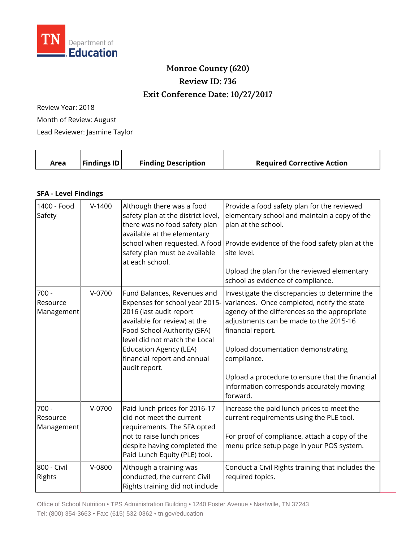

## **Monroe County (620) Review ID: 736 Exit Conference Date: 10/27/2017**

Review Year: 2018 Month of Review: August Lead Reviewer: Jasmine Taylor

|  | Area | <b>Findings ID</b> | <b>Finding Description</b> | <b>Required Corrective Action</b> |
|--|------|--------------------|----------------------------|-----------------------------------|
|--|------|--------------------|----------------------------|-----------------------------------|

## **SFA - Level Findings**

| 1400 - Food<br>Safety             | $V-1400$ | Although there was a food<br>safety plan at the district level,<br>there was no food safety plan<br>available at the elementary<br>school when requested. A food<br>safety plan must be available<br>at each school.                                                      | Provide a food safety plan for the reviewed<br>elementary school and maintain a copy of the<br>plan at the school.<br>Provide evidence of the food safety plan at the<br>site level.<br>Upload the plan for the reviewed elementary<br>school as evidence of compliance.                                                                                                      |
|-----------------------------------|----------|---------------------------------------------------------------------------------------------------------------------------------------------------------------------------------------------------------------------------------------------------------------------------|-------------------------------------------------------------------------------------------------------------------------------------------------------------------------------------------------------------------------------------------------------------------------------------------------------------------------------------------------------------------------------|
| $700 -$<br>Resource<br>Management | $V-0700$ | Fund Balances, Revenues and<br>Expenses for school year 2015-<br>2016 (last audit report<br>available for review) at the<br>Food School Authority (SFA)<br>level did not match the Local<br><b>Education Agency (LEA)</b><br>financial report and annual<br>audit report. | Investigate the discrepancies to determine the<br>variances. Once completed, notify the state<br>agency of the differences so the appropriate<br>adjustments can be made to the 2015-16<br>financial report.<br>Upload documentation demonstrating<br>compliance.<br>Upload a procedure to ensure that the financial<br>information corresponds accurately moving<br>forward. |
| $700 -$<br>Resource<br>Management | $V-0700$ | Paid lunch prices for 2016-17<br>did not meet the current<br>requirements. The SFA opted<br>not to raise lunch prices<br>despite having completed the<br>Paid Lunch Equity (PLE) tool.                                                                                    | Increase the paid lunch prices to meet the<br>current requirements using the PLE tool.<br>For proof of compliance, attach a copy of the<br>menu price setup page in your POS system.                                                                                                                                                                                          |
| 800 - Civil<br>Rights             | V-0800   | Although a training was<br>conducted, the current Civil<br>Rights training did not include                                                                                                                                                                                | Conduct a Civil Rights training that includes the<br>required topics.                                                                                                                                                                                                                                                                                                         |